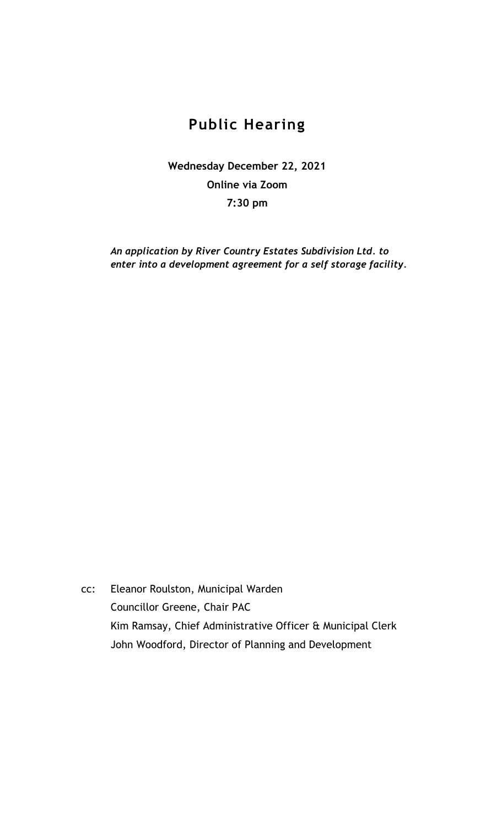## **Public Hearing**

**Wednesday December 22, 2021 Online via Zoom 7:30 pm**

*An application by River Country Estates Subdivision Ltd. to enter into a development agreement for a self storage facility.*

cc: Eleanor Roulston, Municipal Warden Councillor Greene, Chair PAC Kim Ramsay, Chief Administrative Officer & Municipal Clerk John Woodford, Director of Planning and Development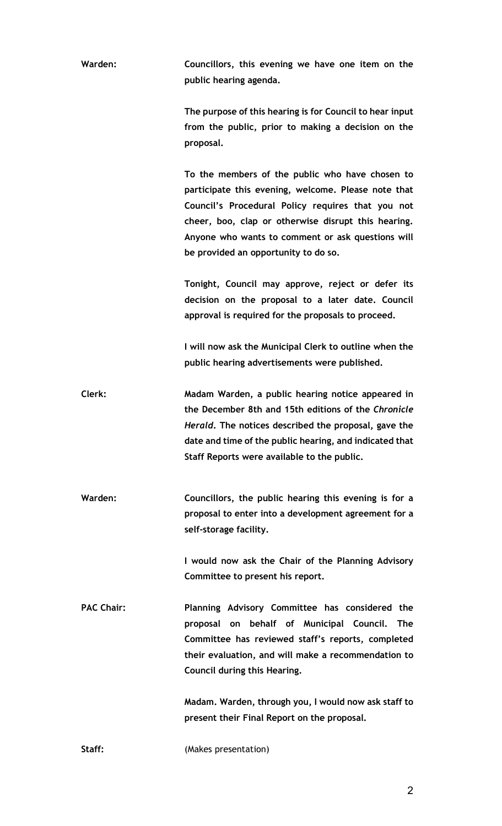**Warden: Councillors, this evening we have one item on the public hearing agenda.**

> **The purpose of this hearing is for Council to hear input from the public, prior to making a decision on the proposal.**

> **To the members of the public who have chosen to participate this evening, welcome. Please note that Council's Procedural Policy requires that you not cheer, boo, clap or otherwise disrupt this hearing. Anyone who wants to comment or ask questions will be provided an opportunity to do so.**

> **Tonight, Council may approve, reject or defer its decision on the proposal to a later date. Council approval is required for the proposals to proceed.**

> **I will now ask the Municipal Clerk to outline when the public hearing advertisements were published.**

**Clerk: Madam Warden, a public hearing notice appeared in the December 8th and 15th editions of the** *Chronicle Herald***. The notices described the proposal, gave the date and time of the public hearing, and indicated that Staff Reports were available to the public.** 

**Warden: Councillors, the public hearing this evening is for a proposal to enter into a development agreement for a self-storage facility.** 

> **I would now ask the Chair of the Planning Advisory Committee to present his report.**

**PAC Chair: Planning Advisory Committee has considered the proposal on behalf of Municipal Council. The Committee has reviewed staff's reports, completed their evaluation, and will make a recommendation to Council during this Hearing.**

> **Madam. Warden, through you, I would now ask staff to present their Final Report on the proposal.**

**Staff:** (Makes presentation)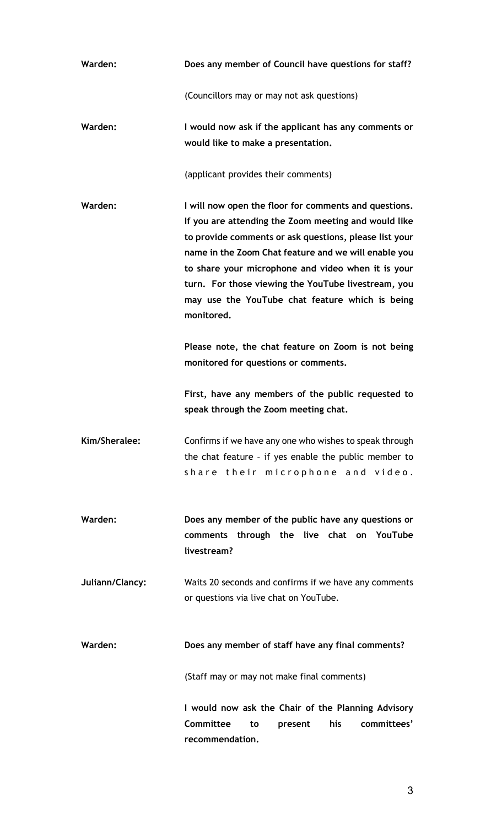| Warden:         | Does any member of Council have questions for staff?                                                                                                                                                                                                                                                                                                                                                          |
|-----------------|---------------------------------------------------------------------------------------------------------------------------------------------------------------------------------------------------------------------------------------------------------------------------------------------------------------------------------------------------------------------------------------------------------------|
|                 | (Councillors may or may not ask questions)                                                                                                                                                                                                                                                                                                                                                                    |
| Warden:         | I would now ask if the applicant has any comments or<br>would like to make a presentation.                                                                                                                                                                                                                                                                                                                    |
|                 | (applicant provides their comments)                                                                                                                                                                                                                                                                                                                                                                           |
| Warden:         | I will now open the floor for comments and questions.<br>If you are attending the Zoom meeting and would like<br>to provide comments or ask questions, please list your<br>name in the Zoom Chat feature and we will enable you<br>to share your microphone and video when it is your<br>turn. For those viewing the YouTube livestream, you<br>may use the YouTube chat feature which is being<br>monitored. |
|                 | Please note, the chat feature on Zoom is not being<br>monitored for questions or comments.                                                                                                                                                                                                                                                                                                                    |
|                 | First, have any members of the public requested to<br>speak through the Zoom meeting chat.                                                                                                                                                                                                                                                                                                                    |
| Kim/Sheralee:   | Confirms if we have any one who wishes to speak through<br>the chat feature - if yes enable the public member to<br>share their microphone and video.                                                                                                                                                                                                                                                         |
| Warden:         | Does any member of the public have any questions or<br>comments through the live chat on YouTube<br>livestream?                                                                                                                                                                                                                                                                                               |
| Juliann/Clancy: | Waits 20 seconds and confirms if we have any comments<br>or questions via live chat on YouTube.                                                                                                                                                                                                                                                                                                               |
| Warden:         | Does any member of staff have any final comments?                                                                                                                                                                                                                                                                                                                                                             |
|                 | (Staff may or may not make final comments)                                                                                                                                                                                                                                                                                                                                                                    |
|                 | I would now ask the Chair of the Planning Advisory<br>Committee<br>his<br>committees'<br>to<br>present<br>recommendation.                                                                                                                                                                                                                                                                                     |